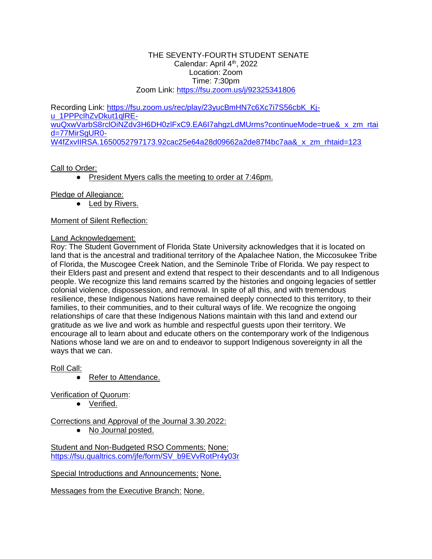#### THE SEVENTY-FOURTH STUDENT SENATE Calendar: April 4<sup>th</sup>, 2022 Location: Zoom Time: 7:30pm Zoom Link:<https://fsu.zoom.us/j/92325341806>

Recording Link: [https://fsu.zoom.us/rec/play/23yucBmHN7c6Xc7i7S56cbK\\_Kj](https://fsu.zoom.us/rec/play/23yucBmHN7c6Xc7i7S56cbK_Kj-u_1PPPcIhZvDkut1qlRE-wuQxwVarbS8rclOiNZdv3H6DH0zlFxC9.EA6I7ahgzLdMUrms?continueMode=true&_x_zm_rtaid=77MirSgUR0-W4fZxvIIRSA.1650052797173.92cac25e64a28d09662a2de87f4bc7aa&_x_zm_rhtaid=123)[u\\_1PPPcIhZvDkut1qlRE](https://fsu.zoom.us/rec/play/23yucBmHN7c6Xc7i7S56cbK_Kj-u_1PPPcIhZvDkut1qlRE-wuQxwVarbS8rclOiNZdv3H6DH0zlFxC9.EA6I7ahgzLdMUrms?continueMode=true&_x_zm_rtaid=77MirSgUR0-W4fZxvIIRSA.1650052797173.92cac25e64a28d09662a2de87f4bc7aa&_x_zm_rhtaid=123)wuQxwVarbS8rclOiNZdv3H6DH0zlFxC9.EA6I7ahgzLdMUrms?continueMode=true& x zm\_rtai [d=77MirSgUR0-](https://fsu.zoom.us/rec/play/23yucBmHN7c6Xc7i7S56cbK_Kj-u_1PPPcIhZvDkut1qlRE-wuQxwVarbS8rclOiNZdv3H6DH0zlFxC9.EA6I7ahgzLdMUrms?continueMode=true&_x_zm_rtaid=77MirSgUR0-W4fZxvIIRSA.1650052797173.92cac25e64a28d09662a2de87f4bc7aa&_x_zm_rhtaid=123) [W4fZxvIIRSA.1650052797173.92cac25e64a28d09662a2de87f4bc7aa&\\_x\\_zm\\_rhtaid=123](https://fsu.zoom.us/rec/play/23yucBmHN7c6Xc7i7S56cbK_Kj-u_1PPPcIhZvDkut1qlRE-wuQxwVarbS8rclOiNZdv3H6DH0zlFxC9.EA6I7ahgzLdMUrms?continueMode=true&_x_zm_rtaid=77MirSgUR0-W4fZxvIIRSA.1650052797173.92cac25e64a28d09662a2de87f4bc7aa&_x_zm_rhtaid=123)

## Call to Order:

● President Myers calls the meeting to order at 7:46pm.

Pledge of Allegiance:

 $\overline{\bullet}$  Led by Rivers.

## Moment of Silent Reflection:

## Land Acknowledgement:

Roy: The Student Government of Florida State University acknowledges that it is located on land that is the ancestral and traditional territory of the Apalachee Nation, the Miccosukee Tribe of Florida, the Muscogee Creek Nation, and the Seminole Tribe of Florida. We pay respect to their Elders past and present and extend that respect to their descendants and to all Indigenous people. We recognize this land remains scarred by the histories and ongoing legacies of settler colonial violence, dispossession, and removal. In spite of all this, and with tremendous resilience, these Indigenous Nations have remained deeply connected to this territory, to their families, to their communities, and to their cultural ways of life. We recognize the ongoing relationships of care that these Indigenous Nations maintain with this land and extend our gratitude as we live and work as humble and respectful guests upon their territory. We encourage all to learn about and educate others on the contemporary work of the Indigenous Nations whose land we are on and to endeavor to support Indigenous sovereignty in all the ways that we can.

Roll Call:

● Refer to Attendance.

Verification of Quorum:

● Verified.

Corrections and Approval of the Journal 3.30.2022:

● No Journal posted.

Student and Non-Budgeted RSO Comments: None: [https://fsu.qualtrics.com/jfe/form/SV\\_b9EVvRotPr4y03r](https://fsu.qualtrics.com/jfe/form/SV_b9EVvRotPr4y03r)

Special Introductions and Announcements: None.

Messages from the Executive Branch: None.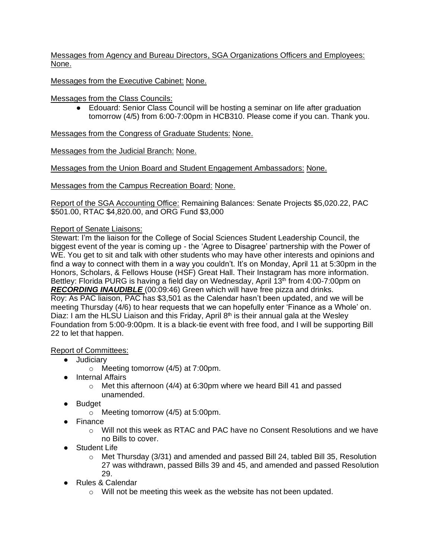Messages from Agency and Bureau Directors, SGA Organizations Officers and Employees: None.

Messages from the Executive Cabinet: None.

Messages from the Class Councils:

● Edouard: Senior Class Council will be hosting a seminar on life after graduation tomorrow (4/5) from 6:00-7:00pm in HCB310. Please come if you can. Thank you.

Messages from the Congress of Graduate Students: None.

Messages from the Judicial Branch: None.

Messages from the Union Board and Student Engagement Ambassadors: None.

Messages from the Campus Recreation Board: None.

Report of the SGA Accounting Office: Remaining Balances: Senate Projects \$5,020.22, PAC \$501.00, RTAC \$4,820.00, and ORG Fund \$3,000

### Report of Senate Liaisons:

Stewart: I'm the liaison for the College of Social Sciences Student Leadership Council, the biggest event of the year is coming up - the 'Agree to Disagree' partnership with the Power of WE. You get to sit and talk with other students who may have other interests and opinions and find a way to connect with them in a way you couldn't. It's on Monday, April 11 at 5:30pm in the Honors, Scholars, & Fellows House (HSF) Great Hall. Their Instagram has more information. Bettley: Florida PURG is having a field day on Wednesday, April 13th from 4:00-7:00pm on *RECORDING INAUDIBLE* (00:09:46) Green which will have free pizza and drinks. Roy: As PAC liaison, PAC has \$3,501 as the Calendar hasn't been updated, and we will be meeting Thursday (4/6) to hear requests that we can hopefully enter 'Finance as a Whole' on. Diaz: I am the HLSU Liaison and this Friday, April  $8<sup>th</sup>$  is their annual gala at the Wesley Foundation from 5:00-9:00pm. It is a black-tie event with free food, and I will be supporting Bill 22 to let that happen.

### Report of Committees:

- Judiciary
	- o Meeting tomorrow (4/5) at 7:00pm.
- Internal Affairs
	- $\circ$  Met this afternoon (4/4) at 6:30pm where we heard Bill 41 and passed unamended.
- Budget
	- o Meeting tomorrow (4/5) at 5:00pm.
- Finance
	- o Will not this week as RTAC and PAC have no Consent Resolutions and we have no Bills to cover.
- Student Life
	- $\circ$  Met Thursday (3/31) and amended and passed Bill 24, tabled Bill 35, Resolution 27 was withdrawn, passed Bills 39 and 45, and amended and passed Resolution 29.
- Rules & Calendar
	- o Will not be meeting this week as the website has not been updated.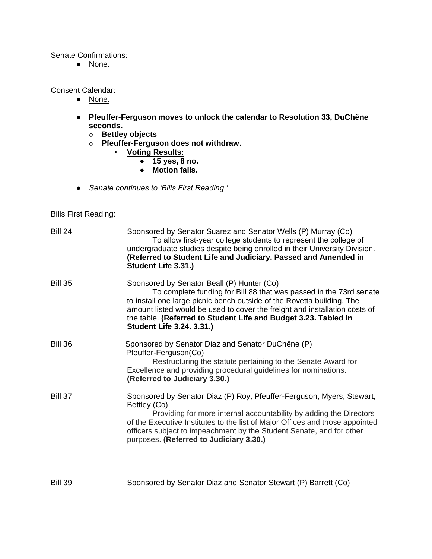## Senate Confirmations:

● None.

### Consent Calendar:

- None.
- **Pfeuffer-Ferguson moves to unlock the calendar to Resolution 33, DuChêne seconds.**
	- o **Bettley objects**
	- o **Pfeuffer-Ferguson does not withdraw.**
		- **Voting Results:**
			- **15 yes, 8 no.**
			- **Motion fails.**
- *Senate continues to 'Bills First Reading.'*

### Bills First Reading:

| <b>Bill 24</b> | Sponsored by Senator Suarez and Senator Wells (P) Murray (Co)<br>To allow first-year college students to represent the college of<br>undergraduate studies despite being enrolled in their University Division.<br>(Referred to Student Life and Judiciary. Passed and Amended in<br>Student Life 3.31.)                                                                        |
|----------------|---------------------------------------------------------------------------------------------------------------------------------------------------------------------------------------------------------------------------------------------------------------------------------------------------------------------------------------------------------------------------------|
| <b>Bill 35</b> | Sponsored by Senator Beall (P) Hunter (Co)<br>To complete funding for Bill 88 that was passed in the 73rd senate<br>to install one large picnic bench outside of the Rovetta building. The<br>amount listed would be used to cover the freight and installation costs of<br>the table. (Referred to Student Life and Budget 3.23. Tabled in<br><b>Student Life 3.24. 3.31.)</b> |
| <b>Bill 36</b> | Sponsored by Senator Diaz and Senator DuChêne (P)<br>Pfeuffer-Ferguson(Co)<br>Restructuring the statute pertaining to the Senate Award for<br>Excellence and providing procedural guidelines for nominations.<br>(Referred to Judiciary 3.30.)                                                                                                                                  |
| <b>Bill 37</b> | Sponsored by Senator Diaz (P) Roy, Pfeuffer-Ferguson, Myers, Stewart,<br>Bettley (Co)<br>Providing for more internal accountability by adding the Directors<br>of the Executive Institutes to the list of Major Offices and those appointed<br>officers subject to impeachment by the Student Senate, and for other<br>purposes. (Referred to Judiciary 3.30.)                  |

Bill 39 Sponsored by Senator Diaz and Senator Stewart (P) Barrett (Co)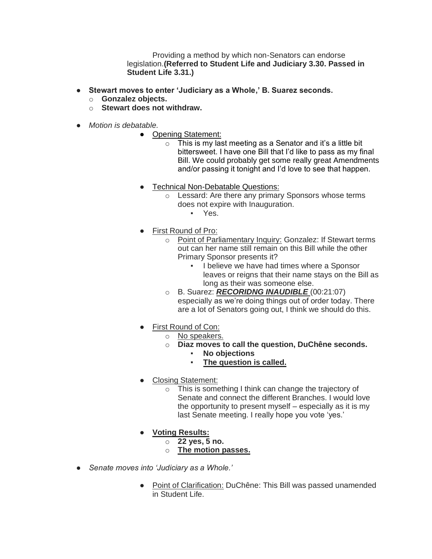Providing a method by which non-Senators can endorse legislation.**(Referred to Student Life and Judiciary 3.30. Passed in Student Life 3.31.)**

- **Stewart moves to enter 'Judiciary as a Whole,' B. Suarez seconds.**
	- o **Gonzalez objects.**
	- o **Stewart does not withdraw.**
- *Motion is debatable.*
	- Opening Statement:
		- $\circ$  This is my last meeting as a Senator and it's a little bit bittersweet. I have one Bill that I'd like to pass as my final Bill. We could probably get some really great Amendments and/or passing it tonight and I'd love to see that happen.
	- Technical Non-Debatable Questions:
		- o Lessard: Are there any primary Sponsors whose terms does not expire with Inauguration.
			- Yes.
	- **First Round of Pro:** 
		- o Point of Parliamentary Inquiry: Gonzalez: If Stewart terms out can her name still remain on this Bill while the other Primary Sponsor presents it?
			- **.** I believe we have had times where a Sponsor leaves or reigns that their name stays on the Bill as long as their was someone else.
		- o B. Suarez: *RECORIDNG INAUDIBLE* (00:21:07) especially as we're doing things out of order today. There are a lot of Senators going out, I think we should do this.
	- First Round of Con:
		- o No speakers.
			- o **Diaz moves to call the question, DuChêne seconds.**
				- **No objections**
				- **The question is called.**
	- Closing Statement:
		- o This is something I think can change the trajectory of Senate and connect the different Branches. I would love the opportunity to present myself – especially as it is my last Senate meeting. I really hope you vote 'yes.'
	- **Voting Results:**
		- o **22 yes, 5 no.**
		- o **The motion passes.**
- *Senate moves into 'Judiciary as a Whole.'*
	- Point of Clarification: DuChêne: This Bill was passed unamended in Student Life.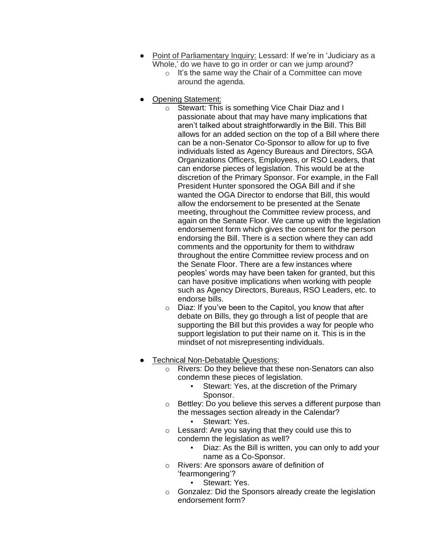- Point of Parliamentary Inquiry: Lessard: If we're in 'Judiciary as a Whole,' do we have to go in order or can we jump around?
	- o It's the same way the Chair of a Committee can move around the agenda.
- **Opening Statement:** 
	- o Stewart: This is something Vice Chair Diaz and I passionate about that may have many implications that aren't talked about straightforwardly in the Bill. This Bill allows for an added section on the top of a Bill where there can be a non-Senator Co-Sponsor to allow for up to five individuals listed as Agency Bureaus and Directors, SGA Organizations Officers, Employees, or RSO Leaders, that can endorse pieces of legislation. This would be at the discretion of the Primary Sponsor. For example, in the Fall President Hunter sponsored the OGA Bill and if she wanted the OGA Director to endorse that Bill, this would allow the endorsement to be presented at the Senate meeting, throughout the Committee review process, and again on the Senate Floor. We came up with the legislation endorsement form which gives the consent for the person endorsing the Bill. There is a section where they can add comments and the opportunity for them to withdraw throughout the entire Committee review process and on the Senate Floor. There are a few instances where peoples' words may have been taken for granted, but this can have positive implications when working with people such as Agency Directors, Bureaus, RSO Leaders, etc. to endorse bills.
	- o Diaz: If you've been to the Capitol, you know that after debate on Bills, they go through a list of people that are supporting the Bill but this provides a way for people who support legislation to put their name on it. This is in the mindset of not misrepresenting individuals.
- Technical Non-Debatable Questions:
	- o Rivers: Do they believe that these non-Senators can also condemn these pieces of legislation.
		- Stewart: Yes, at the discretion of the Primary Sponsor.
	- o Bettley: Do you believe this serves a different purpose than the messages section already in the Calendar?
		- Stewart: Yes.
	- o Lessard: Are you saying that they could use this to condemn the legislation as well?
		- Diaz: As the Bill is written, you can only to add your name as a Co-Sponsor.
	- o Rivers: Are sponsors aware of definition of 'fearmongering'?
		- Stewart: Yes.
	- o Gonzalez: Did the Sponsors already create the legislation endorsement form?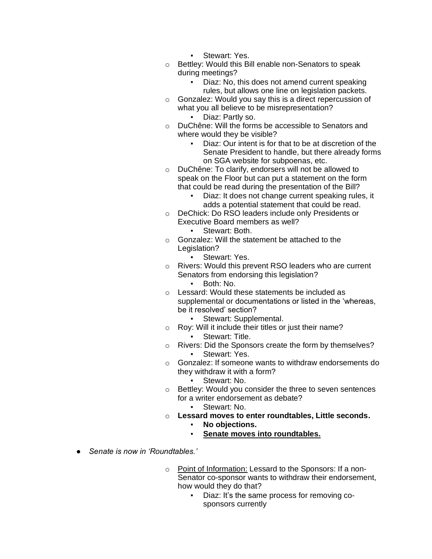- Stewart: Yes.
- o Bettley: Would this Bill enable non-Senators to speak during meetings?
	- Diaz: No, this does not amend current speaking rules, but allows one line on legislation packets.
- o Gonzalez: Would you say this is a direct repercussion of what you all believe to be misrepresentation? Diaz: Partly so.
- o DuChêne: Will the forms be accessible to Senators and where would they be visible?
	- Diaz: Our intent is for that to be at discretion of the Senate President to handle, but there already forms on SGA website for subpoenas, etc.
- o DuChêne: To clarify, endorsers will not be allowed to speak on the Floor but can put a statement on the form that could be read during the presentation of the Bill?
	- Diaz: It does not change current speaking rules, it adds a potential statement that could be read.
- o DeChick: Do RSO leaders include only Presidents or Executive Board members as well?
	- Stewart: Both.
- o Gonzalez: Will the statement be attached to the Legislation?
	- Stewart: Yes.
- o Rivers: Would this prevent RSO leaders who are current Senators from endorsing this legislation?
	- Both: No.
- o Lessard: Would these statements be included as supplemental or documentations or listed in the 'whereas, be it resolved' section?
	- Stewart: Supplemental.
- o Roy: Will it include their titles or just their name? Stewart: Title.
- o Rivers: Did the Sponsors create the form by themselves? Stewart: Yes.
- o Gonzalez: If someone wants to withdraw endorsements do they withdraw it with a form?
	- Stewart: No.
- o Bettley: Would you consider the three to seven sentences for a writer endorsement as debate?
	- Stewart: No.
- o **Lessard moves to enter roundtables, Little seconds.**
	- No objections.
	- Senate moves into roundtables.
- *Senate is now in 'Roundtables.'*
	- o Point of Information: Lessard to the Sponsors: If a non-Senator co-sponsor wants to withdraw their endorsement, how would they do that?
		- Diaz: It's the same process for removing cosponsors currently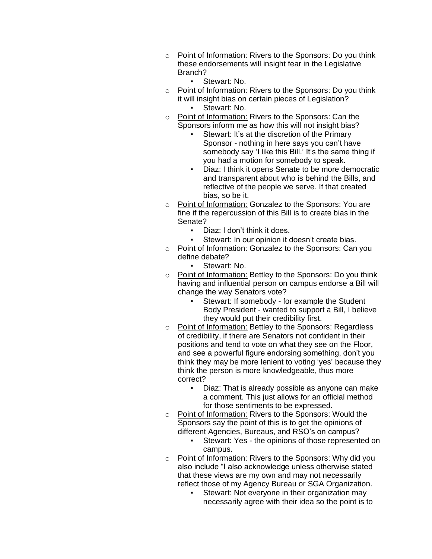- o Point of Information: Rivers to the Sponsors: Do you think these endorsements will insight fear in the Legislative Branch?
	- Stewart: No.
- o Point of Information: Rivers to the Sponsors: Do you think it will insight bias on certain pieces of Legislation? Stewart: No.
- o Point of Information: Rivers to the Sponsors: Can the Sponsors inform me as how this will not insight bias?
	- Stewart: It's at the discretion of the Primary Sponsor - nothing in here says you can't have somebody say 'I like this Bill.' It's the same thing if you had a motion for somebody to speak.
	- Diaz: I think it opens Senate to be more democratic and transparent about who is behind the Bills, and reflective of the people we serve. If that created bias, so be it.
- o Point of Information: Gonzalez to the Sponsors: You are fine if the repercussion of this Bill is to create bias in the Senate?
	- Diaz: I don't think it does.
	- Stewart: In our opinion it doesn't create bias.
- o Point of Information: Gonzalez to the Sponsors: Can you define debate?
	- Stewart: No.
- o Point of Information: Bettley to the Sponsors: Do you think having and influential person on campus endorse a Bill will change the way Senators vote?
	- Stewart: If somebody for example the Student Body President - wanted to support a Bill, I believe they would put their credibility first.
- o Point of Information: Bettley to the Sponsors: Regardless of credibility, if there are Senators not confident in their positions and tend to vote on what they see on the Floor, and see a powerful figure endorsing something, don't you think they may be more lenient to voting 'yes' because they think the person is more knowledgeable, thus more correct?
	- Diaz: That is already possible as anyone can make a comment. This just allows for an official method for those sentiments to be expressed.
- o Point of Information: Rivers to the Sponsors: Would the Sponsors say the point of this is to get the opinions of different Agencies, Bureaus, and RSO's on campus?
	- Stewart: Yes the opinions of those represented on campus.
- o Point of Information: Rivers to the Sponsors: Why did you also include "I also acknowledge unless otherwise stated that these views are my own and may not necessarily reflect those of my Agency Bureau or SGA Organization.
	- **Stewart: Not everyone in their organization may** necessarily agree with their idea so the point is to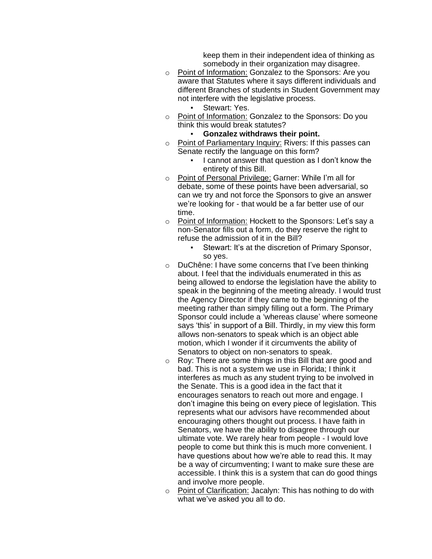keep them in their independent idea of thinking as somebody in their organization may disagree.

- o Point of Information: Gonzalez to the Sponsors: Are you aware that Statutes where it says different individuals and different Branches of students in Student Government may not interfere with the legislative process.
	- Stewart: Yes.
- o Point of Information: Gonzalez to the Sponsors: Do you think this would break statutes?
	- **Gonzalez withdraws their point.**
- o Point of Parliamentary Inquiry: Rivers: If this passes can Senate rectify the language on this form?
	- I cannot answer that question as I don't know the entirety of this Bill.
- o Point of Personal Privilege: Garner: While I'm all for debate, some of these points have been adversarial, so can we try and not force the Sponsors to give an answer we're looking for - that would be a far better use of our time.
- o Point of Information: Hockett to the Sponsors: Let's say a non-Senator fills out a form, do they reserve the right to refuse the admission of it in the Bill?
	- Stewart: It's at the discretion of Primary Sponsor, so yes.
- o DuChêne: I have some concerns that I've been thinking about. I feel that the individuals enumerated in this as being allowed to endorse the legislation have the ability to speak in the beginning of the meeting already. I would trust the Agency Director if they came to the beginning of the meeting rather than simply filling out a form. The Primary Sponsor could include a 'whereas clause' where someone says 'this' in support of a Bill. Thirdly, in my view this form allows non-senators to speak which is an object able motion, which I wonder if it circumvents the ability of Senators to object on non-senators to speak.
- o Roy: There are some things in this Bill that are good and bad. This is not a system we use in Florida; I think it interferes as much as any student trying to be involved in the Senate. This is a good idea in the fact that it encourages senators to reach out more and engage. I don't imagine this being on every piece of legislation. This represents what our advisors have recommended about encouraging others thought out process. I have faith in Senators, we have the ability to disagree through our ultimate vote. We rarely hear from people - I would love people to come but think this is much more convenient. I have questions about how we're able to read this. It may be a way of circumventing; I want to make sure these are accessible. I think this is a system that can do good things and involve more people.
- o Point of Clarification: Jacalyn: This has nothing to do with what we've asked you all to do.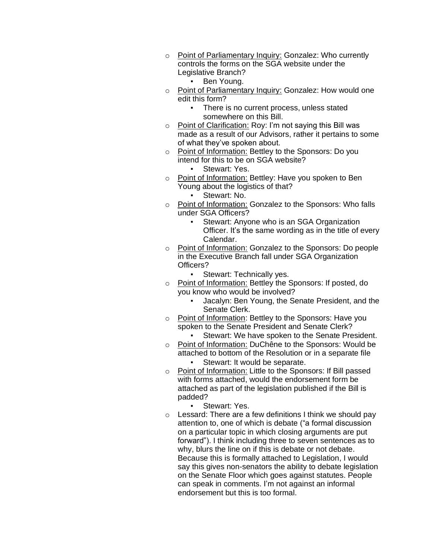- o Point of Parliamentary Inquiry: Gonzalez: Who currently controls the forms on the SGA website under the Legislative Branch?
	- Ben Young.
- o Point of Parliamentary Inquiry: Gonzalez: How would one edit this form?
	- There is no current process, unless stated somewhere on this Bill.
- o Point of Clarification: Roy: I'm not saying this Bill was made as a result of our Advisors, rather it pertains to some of what they've spoken about.
- o Point of Information: Bettley to the Sponsors: Do you intend for this to be on SGA website?
	- Stewart: Yes.
- o Point of Information: Bettley: Have you spoken to Ben Young about the logistics of that?
	- Stewart: No.
- o Point of Information: Gonzalez to the Sponsors: Who falls under SGA Officers?
	- Stewart: Anyone who is an SGA Organization Officer. It's the same wording as in the title of every Calendar.
- o Point of Information: Gonzalez to the Sponsors: Do people in the Executive Branch fall under SGA Organization Officers?
	- **Stewart: Technically yes.**
- o Point of Information: Bettley the Sponsors: If posted, do you know who would be involved?
	- Jacalyn: Ben Young, the Senate President, and the Senate Clerk.
- o Point of Information: Bettley to the Sponsors: Have you spoken to the Senate President and Senate Clerk?
	- **EXEC** Stewart: We have spoken to the Senate President.
- o Point of Information: DuChêne to the Sponsors: Would be attached to bottom of the Resolution or in a separate file Stewart: It would be separate.
- o Point of Information: Little to the Sponsors: If Bill passed with forms attached, would the endorsement form be attached as part of the legislation published if the Bill is padded?
	- Stewart: Yes.
- $\circ$  Lessard: There are a few definitions I think we should pay attention to, one of which is debate ("a formal discussion on a particular topic in which closing arguments are put forward"). I think including three to seven sentences as to why, blurs the line on if this is debate or not debate. Because this is formally attached to Legislation, I would say this gives non-senators the ability to debate legislation on the Senate Floor which goes against statutes. People can speak in comments. I'm not against an informal endorsement but this is too formal.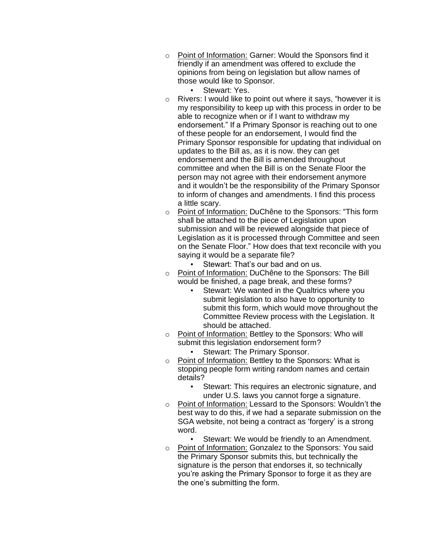- o Point of Information: Garner: Would the Sponsors find it friendly if an amendment was offered to exclude the opinions from being on legislation but allow names of those would like to Sponsor.
	- Stewart: Yes.
- o Rivers: I would like to point out where it says, "however it is my responsibility to keep up with this process in order to be able to recognize when or if I want to withdraw my endorsement." If a Primary Sponsor is reaching out to one of these people for an endorsement, I would find the Primary Sponsor responsible for updating that individual on updates to the Bill as, as it is now. they can get endorsement and the Bill is amended throughout committee and when the Bill is on the Senate Floor the person may not agree with their endorsement anymore and it wouldn't be the responsibility of the Primary Sponsor to inform of changes and amendments. I find this process a little scary.
- o Point of Information: DuChêne to the Sponsors: "This form shall be attached to the piece of Legislation upon submission and will be reviewed alongside that piece of Legislation as it is processed through Committee and seen on the Senate Floor." How does that text reconcile with you saying it would be a separate file?
	- Stewart: That's our bad and on us.
- o Point of Information: DuChêne to the Sponsors: The Bill would be finished, a page break, and these forms?
	- Stewart: We wanted in the Qualtrics where you submit legislation to also have to opportunity to submit this form, which would move throughout the Committee Review process with the Legislation. It should be attached.
- o Point of Information: Bettley to the Sponsors: Who will submit this legislation endorsement form?
	- Stewart: The Primary Sponsor.
- o Point of Information: Bettley to the Sponsors: What is stopping people form writing random names and certain details?
	- Stewart: This requires an electronic signature, and under U.S. laws you cannot forge a signature.
- o Point of Information: Lessard to the Sponsors: Wouldn't the best way to do this, if we had a separate submission on the SGA website, not being a contract as 'forgery' is a strong word.
	- Stewart: We would be friendly to an Amendment.
- o Point of Information: Gonzalez to the Sponsors: You said the Primary Sponsor submits this, but technically the signature is the person that endorses it, so technically you're asking the Primary Sponsor to forge it as they are the one's submitting the form.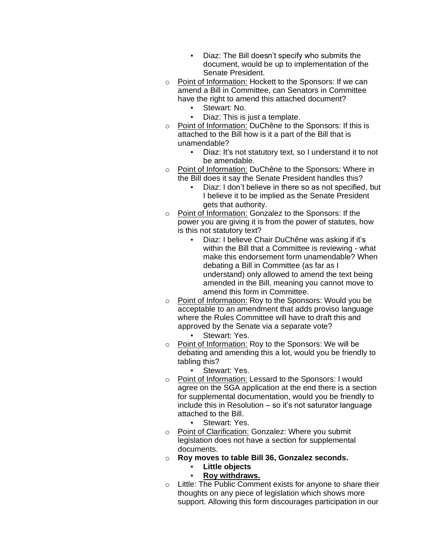- Diaz: The Bill doesn't specify who submits the document, would be up to implementation of the Senate President.
- o Point of Information: Hockett to the Sponsors: If we can amend a Bill in Committee, can Senators in Committee have the right to amend this attached document?
	- **•** Stewart: No.<br>• Diaz: This is
	- Diaz: This is just a template.
- o Point of Information: DuChêne to the Sponsors: If this is attached to the Bill how is it a part of the Bill that is unamendable?
	- Diaz: It's not statutory text, so I understand it to not be amendable.
- o Point of Information: DuChêne to the Sponsors: Where in the Bill does it say the Senate President handles this?
	- Diaz: I don't believe in there so as not specified, but I believe it to be implied as the Senate President gets that authority.
- o Point of Information: Gonzalez to the Sponsors: If the power you are giving it is from the power of statutes, how is this not statutory text?
	- Diaz: I believe Chair DuChêne was asking if it's within the Bill that a Committee is reviewing - what make this endorsement form unamendable? When debating a Bill in Committee (as far as I understand) only allowed to amend the text being amended in the Bill, meaning you cannot move to amend this form in Committee.
- o Point of Information: Roy to the Sponsors: Would you be acceptable to an amendment that adds proviso language where the Rules Committee will have to draft this and approved by the Senate via a separate vote?
	- Stewart: Yes.
- o Point of Information: Roy to the Sponsors: We will be debating and amending this a lot, would you be friendly to tabling this?
	- Stewart: Yes.
- o Point of Information: Lessard to the Sponsors: I would agree on the SGA application at the end there is a section for supplemental documentation, would you be friendly to include this in Resolution – so it's not saturator language attached to the Bill.
	- Stewart: Yes.
- o Point of Clarification: Gonzalez: Where you submit legislation does not have a section for supplemental documents.
- o **Roy moves to table Bill 36, Gonzalez seconds.**
	- **Little objects**
	- **Roy withdraws.**
- o Little: The Public Comment exists for anyone to share their thoughts on any piece of legislation which shows more support. Allowing this form discourages participation in our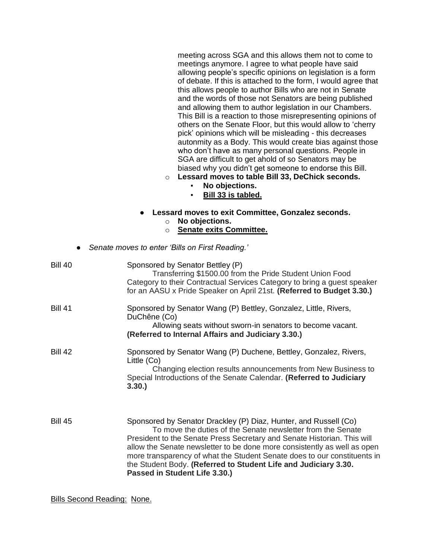meeting across SGA and this allows them not to come to meetings anymore. I agree to what people have said allowing people's specific opinions on legislation is a form of debate. If this is attached to the form, I would agree that this allows people to author Bills who are not in Senate and the words of those not Senators are being published and allowing them to author legislation in our Chambers. This Bill is a reaction to those misrepresenting opinions of others on the Senate Floor, but this would allow to 'cherry pick' opinions which will be misleading - this decreases autonmity as a Body. This would create bias against those who don't have as many personal questions. People in SGA are difficult to get ahold of so Senators may be biased why you didn't get someone to endorse this Bill.

- o **Lessard moves to table Bill 33, DeChick seconds.**
	- **No objections.**
	- **Bill 33 is tabled.**
- **Lessard moves to exit Committee, Gonzalez seconds.** o **No objections.**
	- o **Senate exits Committee.**
- *Senate moves to enter 'Bills on First Reading.'*

| <b>Bill 40</b> | Sponsored by Senator Bettley (P)<br>Transferring \$1500.00 from the Pride Student Union Food<br>Category to their Contractual Services Category to bring a guest speaker<br>for an AASU x Pride Speaker on April 21st. (Referred to Budget 3.30.)                                                                                                                                                                                                                      |
|----------------|------------------------------------------------------------------------------------------------------------------------------------------------------------------------------------------------------------------------------------------------------------------------------------------------------------------------------------------------------------------------------------------------------------------------------------------------------------------------|
| <b>Bill 41</b> | Sponsored by Senator Wang (P) Bettley, Gonzalez, Little, Rivers,<br>DuChêne (Co)<br>Allowing seats without sworn-in senators to become vacant.<br>(Referred to Internal Affairs and Judiciary 3.30.)                                                                                                                                                                                                                                                                   |
| <b>Bill 42</b> | Sponsored by Senator Wang (P) Duchene, Bettley, Gonzalez, Rivers,<br>Little (Co)<br>Changing election results announcements from New Business to<br>Special Introductions of the Senate Calendar. (Referred to Judiciary<br>3.30.                                                                                                                                                                                                                                      |
| <b>Bill 45</b> | Sponsored by Senator Drackley (P) Diaz, Hunter, and Russell (Co)<br>To move the duties of the Senate newsletter from the Senate<br>President to the Senate Press Secretary and Senate Historian. This will<br>allow the Senate newsletter to be done more consistently as well as open<br>more transparency of what the Student Senate does to our constituents in<br>the Student Body. (Referred to Student Life and Judiciary 3.30.<br>Passed in Student Life 3.30.) |

Bills Second Reading: None.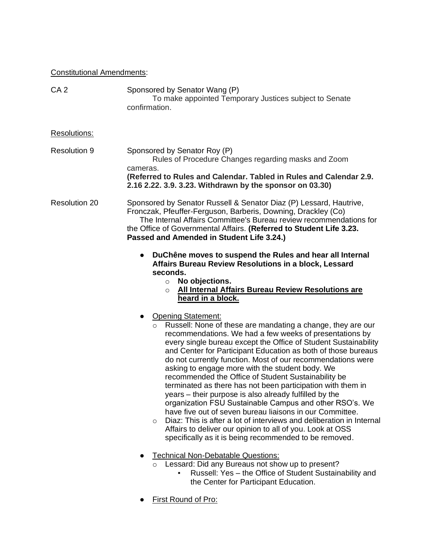# Constitutional Amendments:

| CA <sub>2</sub>      | Sponsored by Senator Wang (P)<br>To make appointed Temporary Justices subject to Senate<br>confirmation.                                                                                                                                                                                                                                                                                                                                                                                                                                                                                                                                                                                         |
|----------------------|--------------------------------------------------------------------------------------------------------------------------------------------------------------------------------------------------------------------------------------------------------------------------------------------------------------------------------------------------------------------------------------------------------------------------------------------------------------------------------------------------------------------------------------------------------------------------------------------------------------------------------------------------------------------------------------------------|
| Resolutions:         |                                                                                                                                                                                                                                                                                                                                                                                                                                                                                                                                                                                                                                                                                                  |
| <b>Resolution 9</b>  | Sponsored by Senator Roy (P)<br>Rules of Procedure Changes regarding masks and Zoom<br>cameras.<br>(Referred to Rules and Calendar. Tabled in Rules and Calendar 2.9.<br>2.16 2.22. 3.9. 3.23. Withdrawn by the sponsor on 03.30)                                                                                                                                                                                                                                                                                                                                                                                                                                                                |
| <b>Resolution 20</b> | Sponsored by Senator Russell & Senator Diaz (P) Lessard, Hautrive,<br>Fronczak, Pfeuffer-Ferguson, Barberis, Downing, Drackley (Co)<br>The Internal Affairs Committee's Bureau review recommendations for<br>the Office of Governmental Affairs. (Referred to Student Life 3.23.<br>Passed and Amended in Student Life 3.24.)                                                                                                                                                                                                                                                                                                                                                                    |
|                      | DuChêne moves to suspend the Rules and hear all Internal<br>Affairs Bureau Review Resolutions in a block, Lessard<br>seconds.<br>No objections.<br>$\circ$<br>All Internal Affairs Bureau Review Resolutions are<br>$\Omega$<br>heard in a block.<br>Opening Statement:<br>Russell: None of these are mandating a change, they are our<br>$\circ$<br>recommendations. We had a few weeks of presentations by<br>every single bureau except the Office of Student Sustainability                                                                                                                                                                                                                  |
|                      | and Center for Participant Education as both of those bureaus<br>do not currently function. Most of our recommendations were<br>asking to engage more with the student body. We<br>recommended the Office of Student Sustainability be<br>terminated as there has not been participation with them in<br>years – their purpose is also already fulfilled by the<br>organization FSU Sustainable Campus and other RSO's. We<br>have five out of seven bureau liaisons in our Committee.<br>Diaz: This is after a lot of interviews and deliberation in Internal<br>$\circ$<br>Affairs to deliver our opinion to all of you. Look at OSS<br>specifically as it is being recommended to be removed. |
|                      | <b>Technical Non-Debatable Questions:</b><br>Lessard: Did any Bureaus not show up to present?<br>$\circ$<br>Russell: Yes - the Office of Student Sustainability and<br>the Center for Participant Education.                                                                                                                                                                                                                                                                                                                                                                                                                                                                                     |
|                      | First Round of Pro:                                                                                                                                                                                                                                                                                                                                                                                                                                                                                                                                                                                                                                                                              |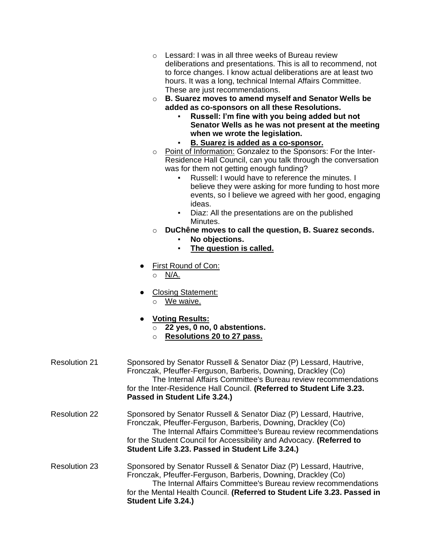- o Lessard: I was in all three weeks of Bureau review deliberations and presentations. This is all to recommend, not to force changes. I know actual deliberations are at least two hours. It was a long, technical Internal Affairs Committee. These are just recommendations.
- o **B. Suarez moves to amend myself and Senator Wells be added as co-sponsors on all these Resolutions.**
	- **Russell: I'm fine with you being added but not Senator Wells as he was not present at the meeting when we wrote the legislation.**
	- **B. Suarez is added as a co-sponsor.**
- o Point of Information: Gonzalez to the Sponsors: For the Inter-Residence Hall Council, can you talk through the conversation was for them not getting enough funding?
	- Russell: I would have to reference the minutes. I believe they were asking for more funding to host more events, so I believe we agreed with her good, engaging ideas.
	- Diaz: All the presentations are on the published Minutes.
- o **DuChêne moves to call the question, B. Suarez seconds.**
	- **No objections.**
		- **The question is called.**
- First Round of Con:

o N/A.

- Closing Statement:
	- o We waive.
- **Voting Results:**
	- o **22 yes, 0 no, 0 abstentions.**
	- o **Resolutions 20 to 27 pass.**

| <b>Resolution 21</b> | Sponsored by Senator Russell & Senator Diaz (P) Lessard, Hautrive,<br>Fronczak, Pfeuffer-Ferguson, Barberis, Downing, Drackley (Co)<br>The Internal Affairs Committee's Bureau review recommendations<br>for the Inter-Residence Hall Council. (Referred to Student Life 3.23.<br>Passed in Student Life 3.24.)                   |
|----------------------|-----------------------------------------------------------------------------------------------------------------------------------------------------------------------------------------------------------------------------------------------------------------------------------------------------------------------------------|
| <b>Resolution 22</b> | Sponsored by Senator Russell & Senator Diaz (P) Lessard, Hautrive,<br>Fronczak, Pfeuffer-Ferguson, Barberis, Downing, Drackley (Co)<br>The Internal Affairs Committee's Bureau review recommendations<br>for the Student Council for Accessibility and Advocacy. (Referred to<br>Student Life 3.23. Passed in Student Life 3.24.) |
| <b>Resolution 23</b> | Sponsored by Senator Russell & Senator Diaz (P) Lessard, Hautrive,<br>Fronczak, Pfeuffer-Ferguson, Barberis, Downing, Drackley (Co)<br>The Internal Affairs Committee's Bureau review recommendations<br>for the Mental Health Council. (Referred to Student Life 3.23. Passed in<br>Student Life 3.24.)                          |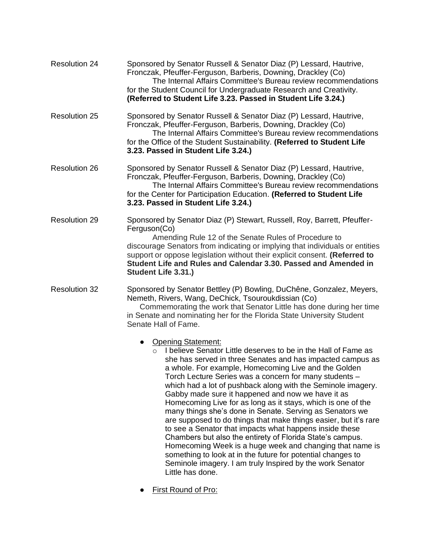| <b>Resolution 24</b> | Sponsored by Senator Russell & Senator Diaz (P) Lessard, Hautrive,<br>Fronczak, Pfeuffer-Ferguson, Barberis, Downing, Drackley (Co)<br>The Internal Affairs Committee's Bureau review recommendations<br>for the Student Council for Undergraduate Research and Creativity.<br>(Referred to Student Life 3.23. Passed in Student Life 3.24.)                                                                                                                                                                                                                                                                                                                                                                                                                                                                                                                                                                                                                  |
|----------------------|---------------------------------------------------------------------------------------------------------------------------------------------------------------------------------------------------------------------------------------------------------------------------------------------------------------------------------------------------------------------------------------------------------------------------------------------------------------------------------------------------------------------------------------------------------------------------------------------------------------------------------------------------------------------------------------------------------------------------------------------------------------------------------------------------------------------------------------------------------------------------------------------------------------------------------------------------------------|
| <b>Resolution 25</b> | Sponsored by Senator Russell & Senator Diaz (P) Lessard, Hautrive,<br>Fronczak, Pfeuffer-Ferguson, Barberis, Downing, Drackley (Co)<br>The Internal Affairs Committee's Bureau review recommendations<br>for the Office of the Student Sustainability. (Referred to Student Life<br>3.23. Passed in Student Life 3.24.)                                                                                                                                                                                                                                                                                                                                                                                                                                                                                                                                                                                                                                       |
| <b>Resolution 26</b> | Sponsored by Senator Russell & Senator Diaz (P) Lessard, Hautrive,<br>Fronczak, Pfeuffer-Ferguson, Barberis, Downing, Drackley (Co)<br>The Internal Affairs Committee's Bureau review recommendations<br>for the Center for Participation Education. (Referred to Student Life<br>3.23. Passed in Student Life 3.24.)                                                                                                                                                                                                                                                                                                                                                                                                                                                                                                                                                                                                                                         |
| <b>Resolution 29</b> | Sponsored by Senator Diaz (P) Stewart, Russell, Roy, Barrett, Pfeuffer-<br>Ferguson(Co)<br>Amending Rule 12 of the Senate Rules of Procedure to<br>discourage Senators from indicating or implying that individuals or entities<br>support or oppose legislation without their explicit consent. (Referred to<br>Student Life and Rules and Calendar 3.30. Passed and Amended in<br>Student Life 3.31.)                                                                                                                                                                                                                                                                                                                                                                                                                                                                                                                                                       |
| <b>Resolution 32</b> | Sponsored by Senator Bettley (P) Bowling, DuChêne, Gonzalez, Meyers,<br>Nemeth, Rivers, Wang, DeChick, Tsouroukdissian (Co)<br>Commemorating the work that Senator Little has done during her time<br>in Senate and nominating her for the Florida State University Student<br>Senate Hall of Fame.                                                                                                                                                                                                                                                                                                                                                                                                                                                                                                                                                                                                                                                           |
|                      | <b>Opening Statement:</b><br>$\bullet$<br>I believe Senator Little deserves to be in the Hall of Fame as<br>$\Omega$<br>she has served in three Senates and has impacted campus as<br>a whole. For example, Homecoming Live and the Golden<br>Torch Lecture Series was a concern for many students –<br>which had a lot of pushback along with the Seminole imagery.<br>Gabby made sure it happened and now we have it as<br>Homecoming Live for as long as it stays, which is one of the<br>many things she's done in Senate. Serving as Senators we<br>are supposed to do things that make things easier, but it's rare<br>to see a Senator that impacts what happens inside these<br>Chambers but also the entirety of Florida State's campus.<br>Homecoming Week is a huge week and changing that name is<br>something to look at in the future for potential changes to<br>Seminole imagery. I am truly Inspired by the work Senator<br>Little has done. |

● First Round of Pro: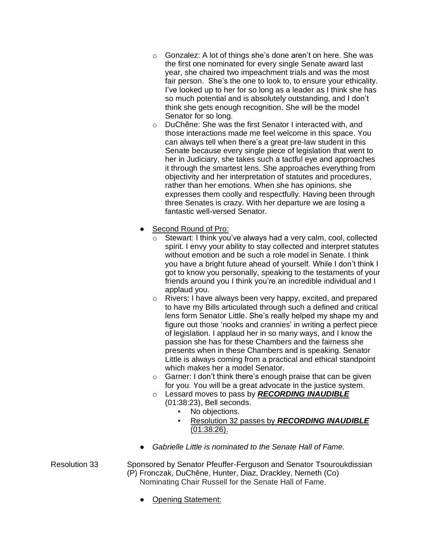- o Gonzalez: A lot of things she's done aren't on here. She was the first one nominated for every single Senate award last year, she chaired two impeachment trials and was the most fair person. She's the one to look to, to ensure your ethicality. I've looked up to her for so long as a leader as I think she has so much potential and is absolutely outstanding, and I don't think she gets enough recognition. She will be the model Senator for so long.
- o DuChêne: She was the first Senator I interacted with, and those interactions made me feel welcome in this space. You can always tell when there's a great pre-law student in this Senate because every single piece of legislation that went to her in Judiciary, she takes such a tactful eye and approaches it through the smartest lens. She approaches everything from objectivity and her interpretation of statutes and procedures, rather than her emotions. When she has opinions, she expresses them coolly and respectfully. Having been through three Senates is crazy. With her departure we are losing a fantastic well-versed Senator.
- Second Round of Pro:
	- o Stewart: I think you've always had a very calm, cool, collected spirit. I envy your ability to stay collected and interpret statutes without emotion and be such a role model in Senate. I think you have a bright future ahead of yourself. While I don't think I got to know you personally, speaking to the testaments of your friends around you I think you're an incredible individual and I applaud you.
	- o Rivers: I have always been very happy, excited, and prepared to have my Bills articulated through such a defined and critical lens form Senator Little. She's really helped my shape my and figure out those 'nooks and crannies' in writing a perfect piece of legislation. I applaud her in so many ways, and I know the passion she has for these Chambers and the fairness she presents when in these Chambers and is speaking. Senator Little is always coming from a practical and ethical standpoint which makes her a model Senator.
	- o Garner: I don't think there's enough praise that can be given for you. You will be a great advocate in the justice system.
	- o Lessard moves to pass by *RECORDING INAUDIBLE* (01:38:23), Bell seconds.
		- No objections.
		- Resolution 32 passes by *RECORDING INAUDIBLE* (01:38:26).
- *Gabrielle Little is nominated to the Senate Hall of Fame.*

Resolution 33 Sponsored by Senator Pfeuffer-Ferguson and Senator Tsouroukdissian (P) Fronczak, DuChêne, Hunter, Diaz, Drackley, Nemeth (Co) Nominating Chair Russell for the Senate Hall of Fame.

● Opening Statement: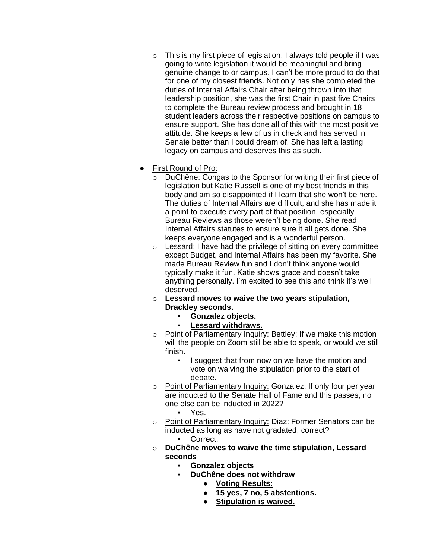- $\circ$  This is my first piece of legislation, I always told people if I was going to write legislation it would be meaningful and bring genuine change to or campus. I can't be more proud to do that for one of my closest friends. Not only has she completed the duties of Internal Affairs Chair after being thrown into that leadership position, she was the first Chair in past five Chairs to complete the Bureau review process and brought in 18 student leaders across their respective positions on campus to ensure support. She has done all of this with the most positive attitude. She keeps a few of us in check and has served in Senate better than I could dream of. She has left a lasting legacy on campus and deserves this as such.
- First Round of Pro:
	- o DuChêne: Congas to the Sponsor for writing their first piece of legislation but Katie Russell is one of my best friends in this body and am so disappointed if I learn that she won't be here. The duties of Internal Affairs are difficult, and she has made it a point to execute every part of that position, especially Bureau Reviews as those weren't being done. She read Internal Affairs statutes to ensure sure it all gets done. She keeps everyone engaged and is a wonderful person.
	- o Lessard: I have had the privilege of sitting on every committee except Budget, and Internal Affairs has been my favorite. She made Bureau Review fun and I don't think anyone would typically make it fun. Katie shows grace and doesn't take anything personally. I'm excited to see this and think it's well deserved.
	- o **Lessard moves to waive the two years stipulation, Drackley seconds.**
		- **Gonzalez objects.**
			- **Lessard withdraws.**
	- o Point of Parliamentary Inquiry: Bettley: If we make this motion will the people on Zoom still be able to speak, or would we still finish.
		- I suggest that from now on we have the motion and vote on waiving the stipulation prior to the start of debate.
	- o Point of Parliamentary Inquiry: Gonzalez: If only four per year are inducted to the Senate Hall of Fame and this passes, no one else can be inducted in 2022?
		- Yes.
	- o Point of Parliamentary Inquiry: Diaz: Former Senators can be inducted as long as have not gradated, correct?
		- Correct.
	- o **DuChêne moves to waive the time stipulation, Lessard seconds**
		- **Gonzalez objects**
			- **DuChêne does not withdraw** 
				- **Voting Results:**
				- **15 yes, 7 no, 5 abstentions.**
				- **Stipulation is waived.**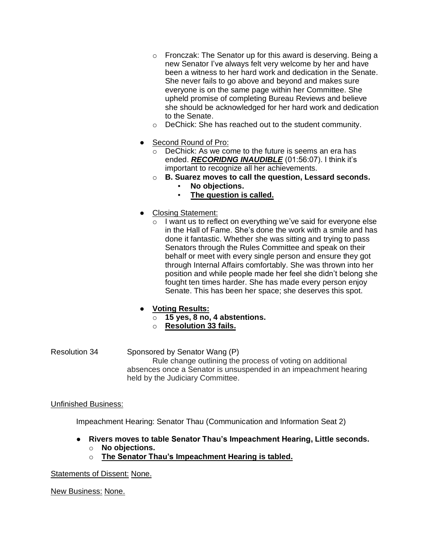- o Fronczak: The Senator up for this award is deserving. Being a new Senator I've always felt very welcome by her and have been a witness to her hard work and dedication in the Senate. She never fails to go above and beyond and makes sure everyone is on the same page within her Committee. She upheld promise of completing Bureau Reviews and believe she should be acknowledged for her hard work and dedication to the Senate.
- o DeChick: She has reached out to the student community.
- Second Round of Pro:
	- o DeChick: As we come to the future is seems an era has ended. *RECORIDNG INAUDIBLE* (01:56:07). I think it's important to recognize all her achievements.
	- o **B. Suarez moves to call the question, Lessard seconds.** No objections.
		- **The question is called.**
- Closing Statement:
	- I want us to reflect on everything we've said for everyone else in the Hall of Fame. She's done the work with a smile and has done it fantastic. Whether she was sitting and trying to pass Senators through the Rules Committee and speak on their behalf or meet with every single person and ensure they got through Internal Affairs comfortably. She was thrown into her position and while people made her feel she didn't belong she fought ten times harder. She has made every person enjoy Senate. This has been her space; she deserves this spot.

## ● **Voting Results:**

- o **15 yes, 8 no, 4 abstentions.**
- o **Resolution 33 fails.**
- Resolution 34 Sponsored by Senator Wang (P) Rule change outlining the process of voting on additional absences once a Senator is unsuspended in an impeachment hearing held by the Judiciary Committee.

### Unfinished Business:

Impeachment Hearing: Senator Thau (Communication and Information Seat 2)

- **Rivers moves to table Senator Thau's Impeachment Hearing, Little seconds.**
	- o **No objections.**
	- o **The Senator Thau's Impeachment Hearing is tabled.**

Statements of Dissent: None.

New Business: None.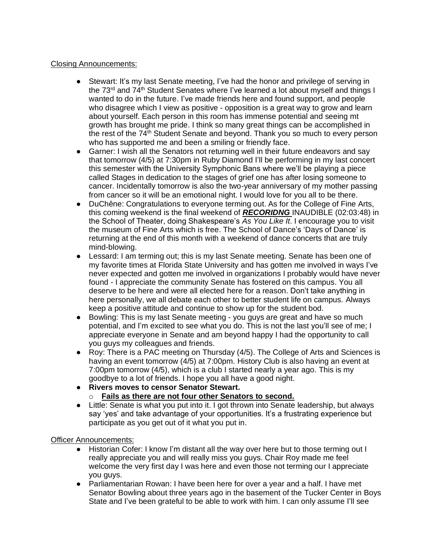### Closing Announcements:

- Stewart: It's my last Senate meeting, I've had the honor and privilege of serving in the 73<sup>rd</sup> and 74<sup>th</sup> Student Senates where I've learned a lot about myself and things I wanted to do in the future. I've made friends here and found support, and people who disagree which I view as positive - opposition is a great way to grow and learn about yourself. Each person in this room has immense potential and seeing mt growth has brought me pride. I think so many great things can be accomplished in the rest of the 74<sup>th</sup> Student Senate and beyond. Thank you so much to every person who has supported me and been a smiling or friendly face.
- Garner: I wish all the Senators not returning well in their future endeavors and say that tomorrow (4/5) at 7:30pm in Ruby Diamond I'll be performing in my last concert this semester with the University Symphonic Bans where we'll be playing a piece called Stages in dedication to the stages of grief one has after losing someone to cancer. Incidentally tomorrow is also the two-year anniversary of my mother passing from cancer so it will be an emotional night. I would love for you all to be there.
- DuChêne: Congratulations to everyone terming out. As for the College of Fine Arts, this coming weekend is the final weekend of *RECORIDNG* INAUDIBLE (02:03:48) in the School of Theater, doing Shakespeare's *As You Like It*. I encourage you to visit the museum of Fine Arts which is free. The School of Dance's 'Days of Dance' is returning at the end of this month with a weekend of dance concerts that are truly mind-blowing.
- Lessard: I am terming out; this is my last Senate meeting. Senate has been one of my favorite times at Florida State University and has gotten me involved in ways I've never expected and gotten me involved in organizations I probably would have never found - I appreciate the community Senate has fostered on this campus. You all deserve to be here and were all elected here for a reason. Don't take anything in here personally, we all debate each other to better student life on campus. Always keep a positive attitude and continue to show up for the student bod.
- Bowling: This is my last Senate meeting you guys are great and have so much potential, and I'm excited to see what you do. This is not the last you'll see of me; I appreciate everyone in Senate and am beyond happy I had the opportunity to call you guys my colleagues and friends.
- Roy: There is a PAC meeting on Thursday (4/5). The College of Arts and Sciences is having an event tomorrow  $(4/5)$  at 7:00pm. History Club is also having an event at 7:00pm tomorrow (4/5), which is a club I started nearly a year ago. This is my goodbye to a lot of friends. I hope you all have a good night.
- **Rivers moves to censor Senator Stewart.** o **Fails as there are not four other Senators to second.**
- Little: Senate is what you put into it. I got thrown into Senate leadership, but always say 'yes' and take advantage of your opportunities. It's a frustrating experience but participate as you get out of it what you put in.

### Officer Announcements:

- Historian Cofer: I know I'm distant all the way over here but to those terming out I really appreciate you and will really miss you guys. Chair Roy made me feel welcome the very first day I was here and even those not terming our I appreciate you guys.
- Parliamentarian Rowan: I have been here for over a year and a half. I have met Senator Bowling about three years ago in the basement of the Tucker Center in Boys State and I've been grateful to be able to work with him. I can only assume I'll see